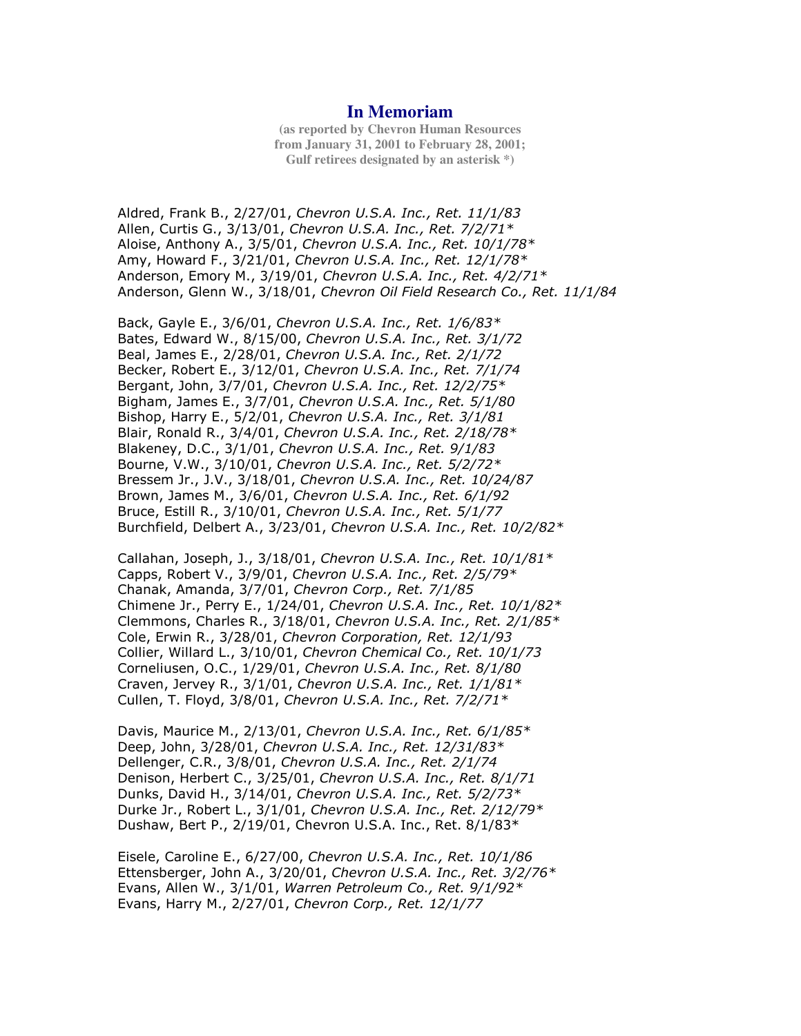## **In Memoriam**

**(as reported by Chevron Human Resources from January 31, 2001 to February 28, 2001; Gulf retirees designated by an asterisk \*)**

Aldred, Frank B., 2/27/01, Chevron U.S.A. Inc., Ret. 11/1/83 Allen, Curtis G., 3/13/01, Chevron U.S.A. Inc., Ret. 7/2/71\* Aloise, Anthony A., 3/5/01, Chevron U.S.A. Inc., Ret. 10/1/78\* Amy, Howard F., 3/21/01, Chevron U.S.A. Inc., Ret. 12/1/78\* Anderson, Emory M., 3/19/01, Chevron U.S.A. Inc., Ret. 4/2/71\* Anderson, Glenn W., 3/18/01, Chevron Oil Field Research Co., Ret. 11/1/84

Back, Gayle E., 3/6/01, Chevron U.S.A. Inc., Ret. 1/6/83\* Bates, Edward W., 8/15/00, Chevron U.S.A. Inc., Ret. 3/1/72 Beal, James E., 2/28/01, Chevron U.S.A. Inc., Ret. 2/1/72 Becker, Robert E., 3/12/01, Chevron U.S.A. Inc., Ret. 7/1/74 Bergant, John, 3/7/01, Chevron U.S.A. Inc., Ret. 12/2/75\* Bigham, James E., 3/7/01, Chevron U.S.A. Inc., Ret. 5/1/80 Bishop, Harry E., 5/2/01, Chevron U.S.A. Inc., Ret. 3/1/81 Blair, Ronald R., 3/4/01, Chevron U.S.A. Inc., Ret. 2/18/78\* Blakeney, D.C., 3/1/01, Chevron U.S.A. Inc., Ret. 9/1/83 Bourne, V.W., 3/10/01, Chevron U.S.A. Inc., Ret. 5/2/72\* Bressem Jr., J.V., 3/18/01, Chevron U.S.A. Inc., Ret. 10/24/87 Brown, James M., 3/6/01, Chevron U.S.A. Inc., Ret. 6/1/92 Bruce, Estill R., 3/10/01, Chevron U.S.A. Inc., Ret. 5/1/77 Burchfield, Delbert A., 3/23/01, Chevron U.S.A. Inc., Ret. 10/2/82\*

Callahan, Joseph, J., 3/18/01, Chevron U.S.A. Inc., Ret. 10/1/81\* Capps, Robert V., 3/9/01, Chevron U.S.A. Inc., Ret. 2/5/79\* Chanak, Amanda, 3/7/01, Chevron Corp., Ret. 7/1/85 Chimene Jr., Perry E., 1/24/01, Chevron U.S.A. Inc., Ret. 10/1/82\* Clemmons, Charles R., 3/18/01, Chevron U.S.A. Inc., Ret. 2/1/85\* Cole, Erwin R., 3/28/01, Chevron Corporation, Ret. 12/1/93 Collier, Willard L., 3/10/01, Chevron Chemical Co., Ret. 10/1/73 Corneliusen, O.C., 1/29/01, Chevron U.S.A. Inc., Ret. 8/1/80 Craven, Jervey R., 3/1/01, Chevron U.S.A. Inc., Ret. 1/1/81\* Cullen, T. Floyd, 3/8/01, Chevron U.S.A. Inc., Ret. 7/2/71\*

Davis, Maurice M., 2/13/01, Chevron U.S.A. Inc., Ret. 6/1/85\* Deep, John, 3/28/01, Chevron U.S.A. Inc., Ret. 12/31/83\* Dellenger, C.R., 3/8/01, Chevron U.S.A. Inc., Ret. 2/1/74 Denison, Herbert C., 3/25/01, Chevron U.S.A. Inc., Ret. 8/1/71 Dunks, David H., 3/14/01, Chevron U.S.A. Inc., Ret. 5/2/73\* Durke Jr., Robert L., 3/1/01, Chevron U.S.A. Inc., Ret. 2/12/79\* Dushaw, Bert P., 2/19/01, Chevron U.S.A. Inc., Ret. 8/1/83\*

Eisele, Caroline E., 6/27/00, Chevron U.S.A. Inc., Ret. 10/1/86 Ettensberger, John A., 3/20/01, Chevron U.S.A. Inc., Ret. 3/2/76\* Evans, Allen W., 3/1/01, Warren Petroleum Co., Ret. 9/1/92\* Evans, Harry M., 2/27/01, Chevron Corp., Ret. 12/1/77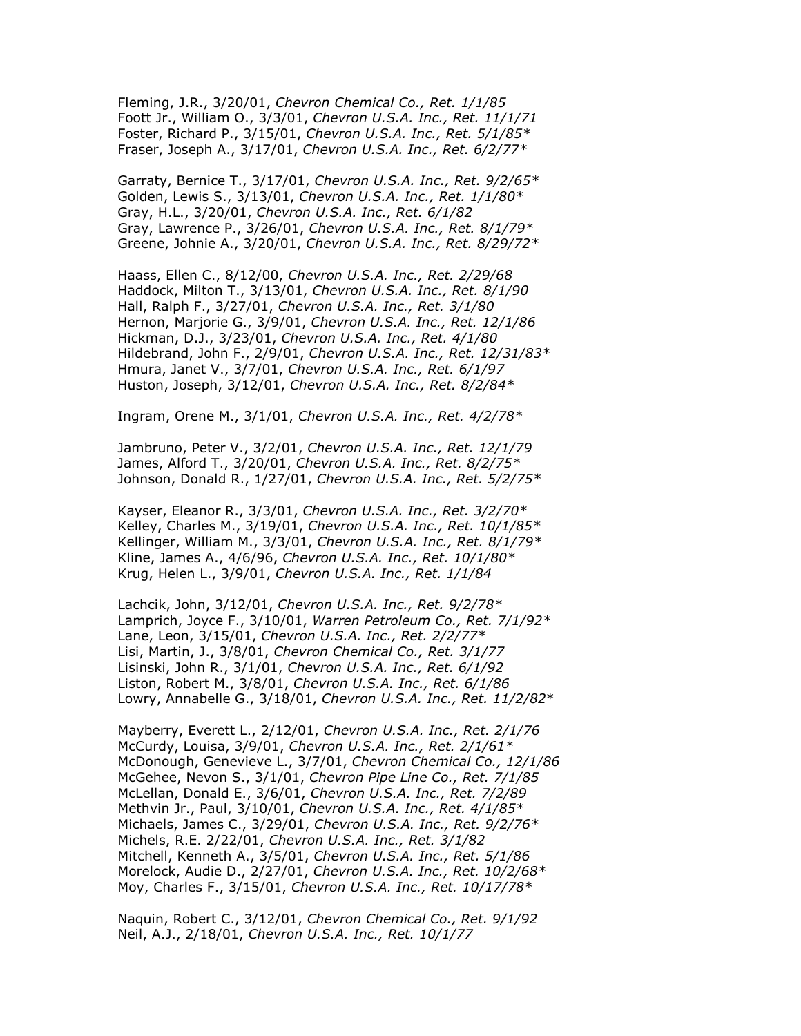Fleming, J.R., 3/20/01, Chevron Chemical Co., Ret. 1/1/85 Foott Jr., William O., 3/3/01, Chevron U.S.A. Inc., Ret. 11/1/71 Foster, Richard P., 3/15/01, Chevron U.S.A. Inc., Ret. 5/1/85\* Fraser, Joseph A., 3/17/01, Chevron U.S.A. Inc., Ret. 6/2/77\*

Garraty, Bernice T., 3/17/01, Chevron U.S.A. Inc., Ret. 9/2/65\* Golden, Lewis S., 3/13/01, Chevron U.S.A. Inc., Ret. 1/1/80\* Gray, H.L., 3/20/01, Chevron U.S.A. Inc., Ret. 6/1/82 Gray, Lawrence P., 3/26/01, Chevron U.S.A. Inc., Ret. 8/1/79\* Greene, Johnie A., 3/20/01, Chevron U.S.A. Inc., Ret. 8/29/72\*

Haass, Ellen C., 8/12/00, Chevron U.S.A. Inc., Ret. 2/29/68 Haddock, Milton T., 3/13/01, Chevron U.S.A. Inc., Ret. 8/1/90 Hall, Ralph F., 3/27/01, Chevron U.S.A. Inc., Ret. 3/1/80 Hernon, Marjorie G., 3/9/01, Chevron U.S.A. Inc., Ret. 12/1/86 Hickman, D.J., 3/23/01, Chevron U.S.A. Inc., Ret. 4/1/80 Hildebrand, John F., 2/9/01, Chevron U.S.A. Inc., Ret. 12/31/83\* Hmura, Janet V., 3/7/01, Chevron U.S.A. Inc., Ret. 6/1/97 Huston, Joseph, 3/12/01, Chevron U.S.A. Inc., Ret. 8/2/84\*

Ingram, Orene M., 3/1/01, Chevron U.S.A. Inc., Ret. 4/2/78\*

Jambruno, Peter V., 3/2/01, Chevron U.S.A. Inc., Ret. 12/1/79 James, Alford T., 3/20/01, Chevron U.S.A. Inc., Ret. 8/2/75\* Johnson, Donald R., 1/27/01, Chevron U.S.A. Inc., Ret. 5/2/75\*

Kayser, Eleanor R., 3/3/01, Chevron U.S.A. Inc., Ret. 3/2/70\* Kelley, Charles M., 3/19/01, Chevron U.S.A. Inc., Ret. 10/1/85\* Kellinger, William M., 3/3/01, Chevron U.S.A. Inc., Ret. 8/1/79\* Kline, James A., 4/6/96, Chevron U.S.A. Inc., Ret. 10/1/80\* Krug, Helen L., 3/9/01, Chevron U.S.A. Inc., Ret. 1/1/84

Lachcik, John, 3/12/01, Chevron U.S.A. Inc., Ret. 9/2/78\* Lamprich, Joyce F., 3/10/01, Warren Petroleum Co., Ret. 7/1/92\* Lane, Leon, 3/15/01, Chevron U.S.A. Inc., Ret. 2/2/77\* Lisi, Martin, J., 3/8/01, Chevron Chemical Co., Ret. 3/1/77 Lisinski, John R., 3/1/01, Chevron U.S.A. Inc., Ret. 6/1/92 Liston, Robert M., 3/8/01, Chevron U.S.A. Inc., Ret. 6/1/86 Lowry, Annabelle G., 3/18/01, Chevron U.S.A. Inc., Ret. 11/2/82\*

Mayberry, Everett L., 2/12/01, Chevron U.S.A. Inc., Ret. 2/1/76 McCurdy, Louisa, 3/9/01, Chevron U.S.A. Inc., Ret. 2/1/61\* McDonough, Genevieve L., 3/7/01, Chevron Chemical Co., 12/1/86 McGehee, Nevon S., 3/1/01, Chevron Pipe Line Co., Ret. 7/1/85 McLellan, Donald E., 3/6/01, Chevron U.S.A. Inc., Ret. 7/2/89 Methvin Jr., Paul, 3/10/01, Chevron U.S.A. Inc., Ret. 4/1/85\* Michaels, James C., 3/29/01, Chevron U.S.A. Inc., Ret. 9/2/76\* Michels, R.E. 2/22/01, Chevron U.S.A. Inc., Ret. 3/1/82 Mitchell, Kenneth A., 3/5/01, Chevron U.S.A. Inc., Ret. 5/1/86 Morelock, Audie D., 2/27/01, Chevron U.S.A. Inc., Ret. 10/2/68\* Moy, Charles F., 3/15/01, Chevron U.S.A. Inc., Ret. 10/17/78\*

Naquin, Robert C., 3/12/01, Chevron Chemical Co., Ret. 9/1/92 Neil, A.J., 2/18/01, Chevron U.S.A. Inc., Ret. 10/1/77